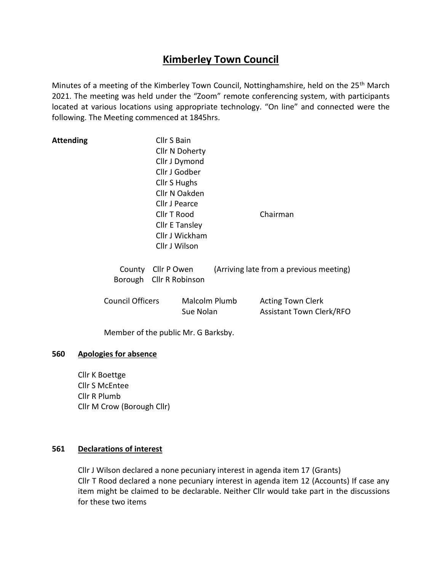# **Kimberley Town Council**

Minutes of a meeting of the Kimberley Town Council, Nottinghamshire, held on the 25<sup>th</sup> March 2021. The meeting was held under the "Zoom" remote conferencing system, with participants located at various locations using appropriate technology. "On line" and connected were the following. The Meeting commenced at 1845hrs.

| Attending                           | Cllr S Bain             |                       |          |                                         |  |  |
|-------------------------------------|-------------------------|-----------------------|----------|-----------------------------------------|--|--|
|                                     |                         | Cllr N Doherty        |          |                                         |  |  |
|                                     |                         | Cllr J Dymond         |          |                                         |  |  |
|                                     |                         | Cllr J Godber         |          |                                         |  |  |
|                                     |                         | Cllr S Hughs          |          |                                         |  |  |
|                                     | Cllr N Oakden           |                       |          |                                         |  |  |
|                                     |                         | Cllr J Pearce         |          |                                         |  |  |
|                                     | Cllr T Rood             |                       | Chairman |                                         |  |  |
|                                     |                         | <b>Cllr E Tansley</b> |          |                                         |  |  |
|                                     |                         | Cllr J Wickham        |          |                                         |  |  |
|                                     |                         | Cllr J Wilson         |          |                                         |  |  |
|                                     | County Cllr P Owen      |                       |          | (Arriving late from a previous meeting) |  |  |
|                                     | Borough Cllr R Robinson |                       |          |                                         |  |  |
| <b>Council Officers</b>             |                         | Malcolm Plumb         |          | <b>Acting Town Clerk</b>                |  |  |
|                                     |                         | Sue Nolan             |          | <b>Assistant Town Clerk/RFO</b>         |  |  |
| Member of the public Mr. G Barksby. |                         |                       |          |                                         |  |  |

#### **560 Apologies for absence**

Cllr K Boettge Cllr S McEntee Cllr R Plumb Cllr M Crow (Borough Cllr)

# **561 Declarations of interest**

Cllr J Wilson declared a none pecuniary interest in agenda item 17 (Grants) Cllr T Rood declared a none pecuniary interest in agenda item 12 (Accounts) If case any item might be claimed to be declarable. Neither Cllr would take part in the discussions for these two items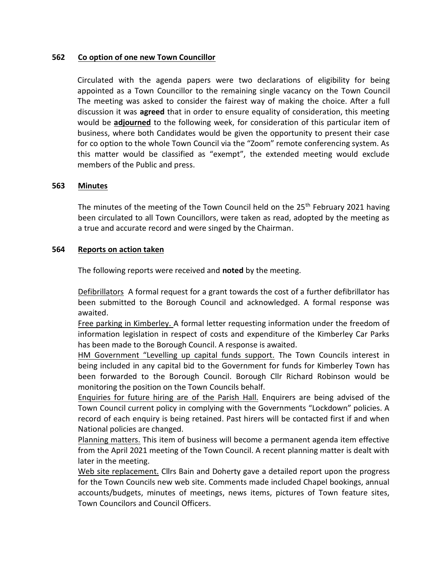## **562 Co option of one new Town Councillor**

Circulated with the agenda papers were two declarations of eligibility for being appointed as a Town Councillor to the remaining single vacancy on the Town Council The meeting was asked to consider the fairest way of making the choice. After a full discussion it was **agreed** that in order to ensure equality of consideration, this meeting would be **adjourned** to the following week, for consideration of this particular item of business, where both Candidates would be given the opportunity to present their case for co option to the whole Town Council via the "Zoom" remote conferencing system. As this matter would be classified as "exempt", the extended meeting would exclude members of the Public and press.

#### **563 Minutes**

The minutes of the meeting of the Town Council held on the  $25<sup>th</sup>$  February 2021 having been circulated to all Town Councillors, were taken as read, adopted by the meeting as a true and accurate record and were singed by the Chairman.

#### **564 Reports on action taken**

The following reports were received and **noted** by the meeting.

Defibrillators A formal request for a grant towards the cost of a further defibrillator has been submitted to the Borough Council and acknowledged. A formal response was awaited.

Free parking in Kimberley. A formal letter requesting information under the freedom of information legislation in respect of costs and expenditure of the Kimberley Car Parks has been made to the Borough Council. A response is awaited.

HM Government "Levelling up capital funds support. The Town Councils interest in being included in any capital bid to the Government for funds for Kimberley Town has been forwarded to the Borough Council. Borough Cllr Richard Robinson would be monitoring the position on the Town Councils behalf.

Enquiries for future hiring are of the Parish Hall. Enquirers are being advised of the Town Council current policy in complying with the Governments "Lockdown" policies. A record of each enquiry is being retained. Past hirers will be contacted first if and when National policies are changed.

Planning matters. This item of business will become a permanent agenda item effective from the April 2021 meeting of the Town Council. A recent planning matter is dealt with later in the meeting.

Web site replacement. Cllrs Bain and Doherty gave a detailed report upon the progress for the Town Councils new web site. Comments made included Chapel bookings, annual accounts/budgets, minutes of meetings, news items, pictures of Town feature sites, Town Councilors and Council Officers.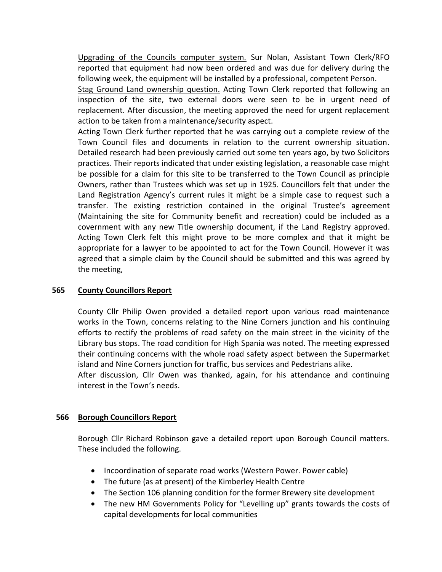Upgrading of the Councils computer system. Sur Nolan, Assistant Town Clerk/RFO reported that equipment had now been ordered and was due for delivery during the following week, the equipment will be installed by a professional, competent Person.

Stag Ground Land ownership question. Acting Town Clerk reported that following an inspection of the site, two external doors were seen to be in urgent need of replacement. After discussion, the meeting approved the need for urgent replacement action to be taken from a maintenance/security aspect.

Acting Town Clerk further reported that he was carrying out a complete review of the Town Council files and documents in relation to the current ownership situation. Detailed research had been previously carried out some ten years ago, by two Solicitors practices. Their reports indicated that under existing legislation, a reasonable case might be possible for a claim for this site to be transferred to the Town Council as principle Owners, rather than Trustees which was set up in 1925. Councillors felt that under the Land Registration Agency's current rules it might be a simple case to request such a transfer. The existing restriction contained in the original Trustee's agreement (Maintaining the site for Community benefit and recreation) could be included as a covernment with any new Title ownership document, if the Land Registry approved. Acting Town Clerk felt this might prove to be more complex and that it might be appropriate for a lawyer to be appointed to act for the Town Council. However it was agreed that a simple claim by the Council should be submitted and this was agreed by the meeting,

# **565 County Councillors Report**

County Cllr Philip Owen provided a detailed report upon various road maintenance works in the Town, concerns relating to the Nine Corners junction and his continuing efforts to rectify the problems of road safety on the main street in the vicinity of the Library bus stops. The road condition for High Spania was noted. The meeting expressed their continuing concerns with the whole road safety aspect between the Supermarket island and Nine Corners junction for traffic, bus services and Pedestrians alike.

After discussion, Cllr Owen was thanked, again, for his attendance and continuing interest in the Town's needs.

## **566 Borough Councillors Report**

Borough Cllr Richard Robinson gave a detailed report upon Borough Council matters. These included the following.

- Incoordination of separate road works (Western Power. Power cable)
- The future (as at present) of the Kimberley Health Centre
- The Section 106 planning condition for the former Brewery site development
- The new HM Governments Policy for "Levelling up" grants towards the costs of capital developments for local communities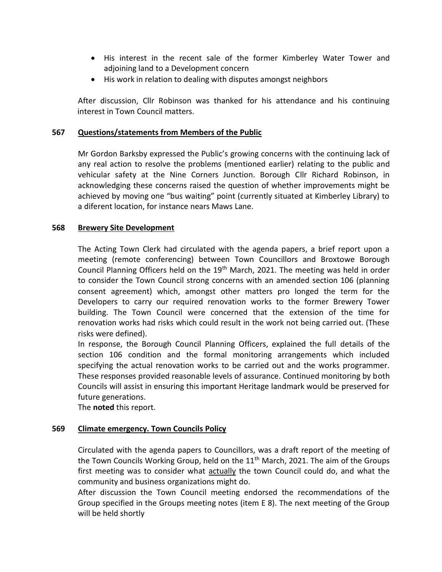- His interest in the recent sale of the former Kimberley Water Tower and adjoining land to a Development concern
- His work in relation to dealing with disputes amongst neighbors

After discussion, Cllr Robinson was thanked for his attendance and his continuing interest in Town Council matters.

## **567 Questions/statements from Members of the Public**

Mr Gordon Barksby expressed the Public's growing concerns with the continuing lack of any real action to resolve the problems (mentioned earlier) relating to the public and vehicular safety at the Nine Corners Junction. Borough Cllr Richard Robinson, in acknowledging these concerns raised the question of whether improvements might be achieved by moving one "bus waiting" point (currently situated at Kimberley Library) to a diferent location, for instance nears Maws Lane.

## **568 Brewery Site Development**

The Acting Town Clerk had circulated with the agenda papers, a brief report upon a meeting (remote conferencing) between Town Councillors and Broxtowe Borough Council Planning Officers held on the  $19<sup>th</sup>$  March, 2021. The meeting was held in order to consider the Town Council strong concerns with an amended section 106 (planning consent agreement) which, amongst other matters pro longed the term for the Developers to carry our required renovation works to the former Brewery Tower building. The Town Council were concerned that the extension of the time for renovation works had risks which could result in the work not being carried out. (These risks were defined).

In response, the Borough Council Planning Officers, explained the full details of the section 106 condition and the formal monitoring arrangements which included specifying the actual renovation works to be carried out and the works programmer. These responses provided reasonable levels of assurance. Continued monitoring by both Councils will assist in ensuring this important Heritage landmark would be preserved for future generations.

The **noted** this report.

## **569 Climate emergency. Town Councils Policy**

Circulated with the agenda papers to Councillors, was a draft report of the meeting of the Town Councils Working Group, held on the  $11<sup>th</sup>$  March, 2021. The aim of the Groups first meeting was to consider what actually the town Council could do, and what the community and business organizations might do.

After discussion the Town Council meeting endorsed the recommendations of the Group specified in the Groups meeting notes (item E 8). The next meeting of the Group will be held shortly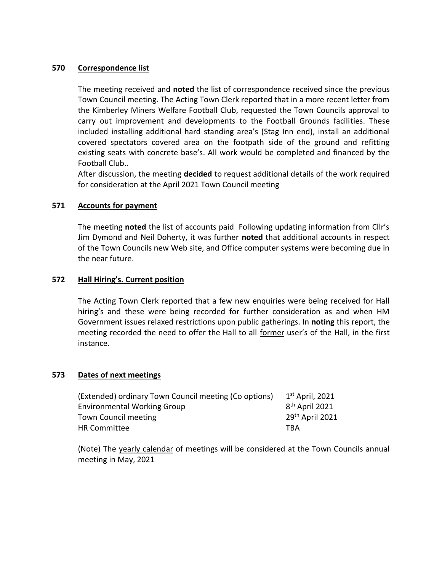#### **570 Correspondence list**

The meeting received and **noted** the list of correspondence received since the previous Town Council meeting. The Acting Town Clerk reported that in a more recent letter from the Kimberley Miners Welfare Football Club, requested the Town Councils approval to carry out improvement and developments to the Football Grounds facilities. These included installing additional hard standing area's (Stag Inn end), install an additional covered spectators covered area on the footpath side of the ground and refitting existing seats with concrete base's. All work would be completed and financed by the Football Club..

After discussion, the meeting **decided** to request additional details of the work required for consideration at the April 2021 Town Council meeting

## **571 Accounts for payment**

The meeting **noted** the list of accounts paid Following updating information from Cllr's Jim Dymond and Neil Doherty, it was further **noted** that additional accounts in respect of the Town Councils new Web site, and Office computer systems were becoming due in the near future.

## **572 Hall Hiring's. Current position**

The Acting Town Clerk reported that a few new enquiries were being received for Hall hiring's and these were being recorded for further consideration as and when HM Government issues relaxed restrictions upon public gatherings. In **noting** this report, the meeting recorded the need to offer the Hall to all former user's of the Hall, in the first instance.

#### **573 Dates of next meetings**

| (Extended) ordinary Town Council meeting (Co options) | $1st$ April, 2021           |
|-------------------------------------------------------|-----------------------------|
| <b>Environmental Working Group</b>                    | 8 <sup>th</sup> April 2021  |
| Town Council meeting                                  | 29 <sup>th</sup> April 2021 |
| <b>HR Committee</b>                                   | TBA                         |

(Note) The yearly calendar of meetings will be considered at the Town Councils annual meeting in May, 2021